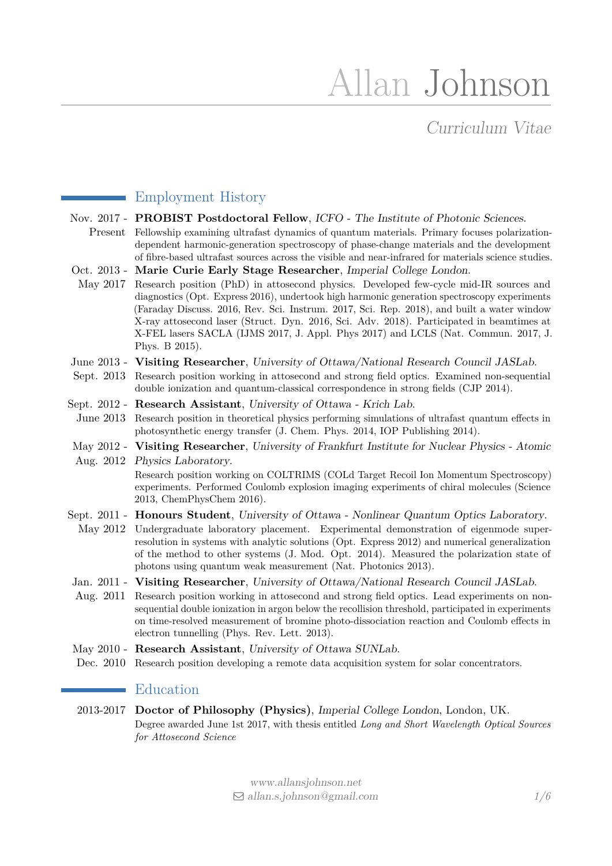# Allan Johnson

# Curriculum Vitae

### Employment History

- Nov. 2017 PROBIST Postdoctoral Fellow, ICFO The Institute of Photonic Sciences.
- Present Fellowship examining ultrafast dynamics of quantum materials. Primary focuses polarizationdependent harmonic-generation spectroscopy of phase-change materials and the development of fibre-based ultrafast sources across the visible and near-infrared for materials science studies.
- Oct. 2013 **Marie Curie Early Stage Researcher**, Imperial College London.
- May 2017 Research position (PhD) in attosecond physics. Developed few-cycle mid-IR sources and diagnostics (Opt. Express 2016), undertook high harmonic generation spectroscopy experiments (Faraday Discuss. 2016, Rev. Sci. Instrum. 2017, Sci. Rep. 2018), and built a water window X-ray attosecond laser (Struct. Dyn. 2016, Sci. Adv. 2018). Participated in beamtimes at X-FEL lasers SACLA (IJMS 2017, J. Appl. Phys 2017) and LCLS (Nat. Commun. 2017, J. Phys. B 2015).
- June 2013 **Visiting Researcher**, University of Ottawa/National Research Council JASLab.
- Sept. 2013 Research position working in attosecond and strong field optics. Examined non-sequential double ionization and quantum-classical correspondence in strong fields (CJP 2014).
- Sept. 2012 **Research Assistant**, University of Ottawa Krich Lab.
- June 2013 Research position in theoretical physics performing simulations of ultrafast quantum effects in photosynthetic energy transfer (J. Chem. Phys. 2014, IOP Publishing 2014).
- May 2012 **Visiting Researcher**, University of Frankfurt Institute for Nuclear Physics Atomic
- Aug. 2012 Physics Laboratory.

Research position working on COLTRIMS (COLd Target Recoil Ion Momentum Spectroscopy) experiments. Performed Coulomb explosion imaging experiments of chiral molecules (Science 2013, ChemPhysChem 2016).

- Sept. 2011 **Honours Student**, University of Ottawa Nonlinear Quantum Optics Laboratory.
- May 2012 Undergraduate laboratory placement. Experimental demonstration of eigenmode superresolution in systems with analytic solutions (Opt. Express 2012) and numerical generalization of the method to other systems (J. Mod. Opt. 2014). Measured the polarization state of photons using quantum weak measurement (Nat. Photonics 2013).
- Jan. 2011 **Visiting Researcher**, University of Ottawa/National Research Council JASLab.
- Aug. 2011 Research position working in attosecond and strong field optics. Lead experiments on nonsequential double ionization in argon below the recollision threshold, participated in experiments on time-resolved measurement of bromine photo-dissociation reaction and Coulomb effects in electron tunnelling (Phys. Rev. Lett. 2013).
- May 2010 **Research Assistant**, University of Ottawa SUNLab.
- Dec. 2010 Research position developing a remote data acquisition system for solar concentrators.

#### Education

2013-2017 **Doctor of Philosophy (Physics)**, Imperial College London, London, UK. Degree awarded June 1st 2017, with thesis entitled *Long and Short Wavelength Optical Sources for Attosecond Science*

> [www.allansjohnson.net](http://allansjohnson.net/) Q [allan.s.johnson@gmail.com](mailto:allan.s.johnson@gmail.com) *1[/6](#page-4-0)*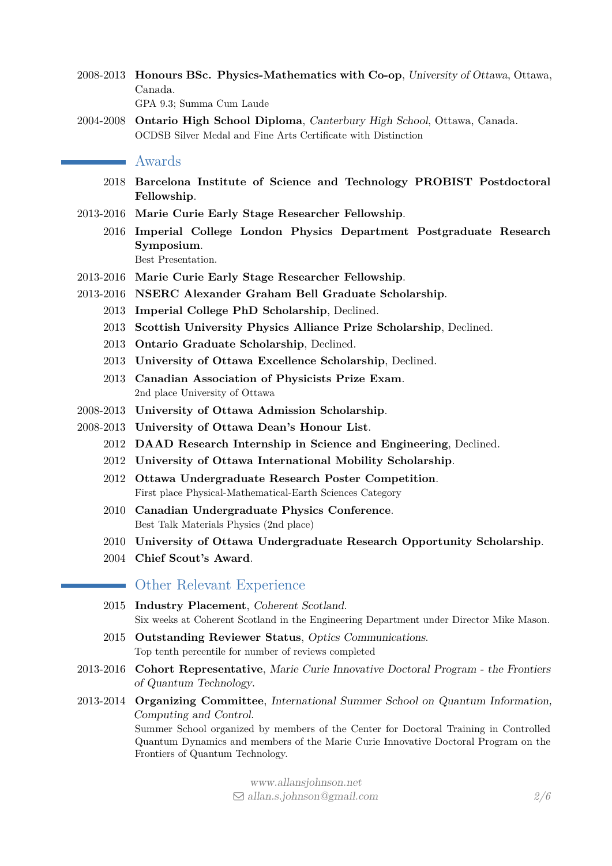- 2008-2013 **Honours BSc. Physics-Mathematics with Co-op**, University of Ottawa, Ottawa, Canada. GPA 9.3; Summa Cum Laude
- 2004-2008 **Ontario High School Diploma**, Canterbury High School, Ottawa, Canada. OCDSB Silver Medal and Fine Arts Certificate with Distinction

#### Awards

- 2018 **Barcelona Institute of Science and Technology PROBIST Postdoctoral Fellowship**.
- 2013-2016 **Marie Curie Early Stage Researcher Fellowship**.
	- 2016 **Imperial College London Physics Department Postgraduate Research Symposium**. Best Presentation.
- 2013-2016 **Marie Curie Early Stage Researcher Fellowship**.
- 2013-2016 **NSERC Alexander Graham Bell Graduate Scholarship**.
	- 2013 **Imperial College PhD Scholarship**, Declined.
	- 2013 **Scottish University Physics Alliance Prize Scholarship**, Declined.
	- 2013 **Ontario Graduate Scholarship**, Declined.
	- 2013 **University of Ottawa Excellence Scholarship**, Declined.
	- 2013 **Canadian Association of Physicists Prize Exam**. 2nd place University of Ottawa
- 2008-2013 **University of Ottawa Admission Scholarship**.
- 2008-2013 **University of Ottawa Dean's Honour List**.
	- 2012 **DAAD Research Internship in Science and Engineering**, Declined.
	- 2012 **University of Ottawa International Mobility Scholarship**.
	- 2012 **Ottawa Undergraduate Research Poster Competition**. First place Physical-Mathematical-Earth Sciences Category
	- 2010 **Canadian Undergraduate Physics Conference**. Best Talk Materials Physics (2nd place)
	- 2010 **University of Ottawa Undergraduate Research Opportunity Scholarship**.
	- 2004 **Chief Scout's Award**.

#### Other Relevant Experience

- 2015 **Industry Placement**, Coherent Scotland. Six weeks at Coherent Scotland in the Engineering Department under Director Mike Mason.
- 2015 **Outstanding Reviewer Status**, Optics Communications. Top tenth percentile for number of reviews completed
- 2013-2016 **Cohort Representative**, Marie Curie Innovative Doctoral Program the Frontiers of Quantum Technology.
- 2013-2014 **Organizing Committee**, International Summer School on Quantum Information, Computing and Control. Summer School organized by members of the Center for Doctoral Training in Controlled Quantum Dynamics and members of the Marie Curie Innovative Doctoral Program on the Frontiers of Quantum Technology.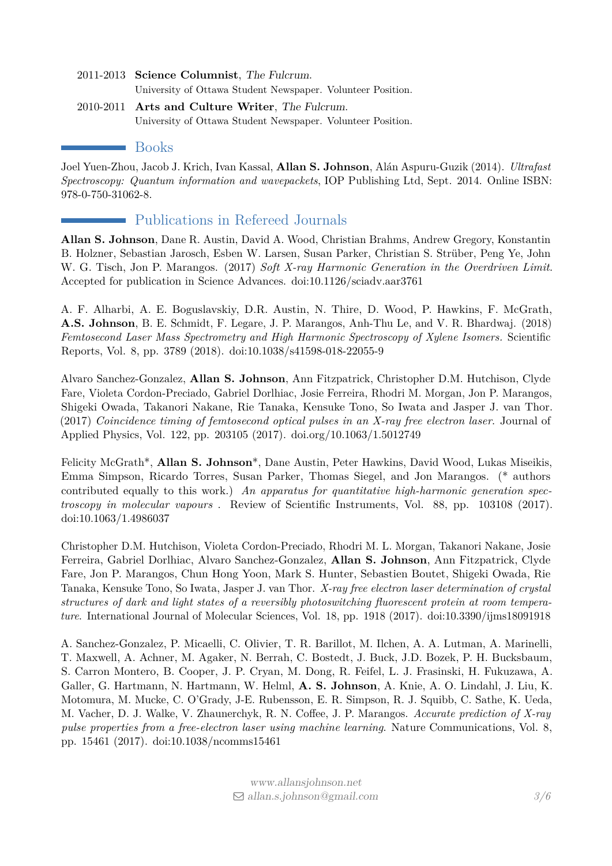- 2011-2013 **Science Columnist**, The Fulcrum. University of Ottawa Student Newspaper. Volunteer Position.
- 2010-2011 **Arts and Culture Writer**, The Fulcrum. University of Ottawa Student Newspaper. Volunteer Position.

#### Books

Joel Yuen-Zhou, Jacob J. Krich, Ivan Kassal, **Allan S. Johnson**, Alán Aspuru-Guzik (2014). *Ultrafast Spectroscopy: Quantum information and wavepackets*, IOP Publishing Ltd, Sept. 2014. [Online ISBN:](http://iopscience.iop.org/book/978-0-750-31062-8) [978-0-750-31062-8.](http://iopscience.iop.org/book/978-0-750-31062-8)

# Publications in Refereed Journals

**Allan S. Johnson**, Dane R. Austin, David A. Wood, Christian Brahms, Andrew Gregory, Konstantin B. Holzner, Sebastian Jarosch, Esben W. Larsen, Susan Parker, Christian S. Strüber, Peng Ye, John W. G. Tisch, Jon P. Marangos. (2017) *Soft X-ray Harmonic Generation in the Overdriven Limit*. Accepted for publication in Science Advances. doi:10.1126/sciadv.aar3761

A. F. Alharbi, A. E. Boguslavskiy, D.R. Austin, N. Thire, D. Wood, P. Hawkins, F. McGrath, **A.S. Johnson**, B. E. Schmidt, F. Legare, J. P. Marangos, Anh-Thu Le, and V. R. Bhardwaj. (2018) *Femtosecond Laser Mass Spectrometry and High Harmonic Spectroscopy of Xylene Isomers.* Scientific Reports, Vol. 8, pp. 3789 (2018). [doi:10.1038/s41598-018-22055-9](https://doi.org/10.1038/s41598-018-22055-9)

Alvaro Sanchez-Gonzalez, **Allan S. Johnson**, Ann Fitzpatrick, Christopher D.M. Hutchison, Clyde Fare, Violeta Cordon-Preciado, Gabriel Dorlhiac, Josie Ferreira, Rhodri M. Morgan, Jon P. Marangos, Shigeki Owada, Takanori Nakane, Rie Tanaka, Kensuke Tono, So Iwata and Jasper J. van Thor. (2017) *Coincidence timing of femtosecond optical pulses in an X-ray free electron laser*. Journal of Applied Physics, Vol. 122, pp. 203105 (2017). [doi.org/10.1063/1.5012749](https://doi.org/10.1063/1.5012749)

Felicity McGrath\*, **Allan S. Johnson**\*, Dane Austin, Peter Hawkins, David Wood, Lukas Miseikis, Emma Simpson, Ricardo Torres, Susan Parker, Thomas Siegel, and Jon Marangos. (\* authors contributed equally to this work.) *An apparatus for quantitative high-harmonic generation spectroscopy in molecular vapours* . Review of Scientific Instruments, Vol. 88, pp. 103108 (2017). [doi:10.1063/1.4986037](https://doi.org/10.1063/1.4986037)

Christopher D.M. Hutchison, Violeta Cordon-Preciado, Rhodri M. L. Morgan, Takanori Nakane, Josie Ferreira, Gabriel Dorlhiac, Alvaro Sanchez-Gonzalez, **Allan S. Johnson**, Ann Fitzpatrick, Clyde Fare, Jon P. Marangos, Chun Hong Yoon, Mark S. Hunter, Sebastien Boutet, Shigeki Owada, Rie Tanaka, Kensuke Tono, So Iwata, Jasper J. van Thor. *X-ray free electron laser determination of crystal structures of dark and light states of a reversibly photoswitching fluorescent protein at room temperature*. International Journal of Molecular Sciences, Vol. 18, pp. 1918 (2017). [doi:10.3390/ijms18091918](http://www.mdpi.com/1422-0067/18/9/1918)

A. Sanchez-Gonzalez, P. Micaelli, C. Olivier, T. R. Barillot, M. Ilchen, A. A. Lutman, A. Marinelli, T. Maxwell, A. Achner, M. Agaker, N. Berrah, C. Bostedt, J. Buck, J.D. Bozek, P. H. Bucksbaum, S. Carron Montero, B. Cooper, J. P. Cryan, M. Dong, R. Feifel, L. J. Frasinski, H. Fukuzawa, A. Galler, G. Hartmann, N. Hartmann, W. Helml, **A. S. Johnson**, A. Knie, A. O. Lindahl, J. Liu, K. Motomura, M. Mucke, C. O'Grady, J-E. Rubensson, E. R. Simpson, R. J. Squibb, C. Sathe, K. Ueda, M. Vacher, D. J. Walke, V. Zhaunerchyk, R. N. Coffee, J. P. Marangos. *Accurate prediction of X-ray pulse properties from a free-electron laser using machine learning*. Nature Communications, Vol. 8, pp. 15461 (2017). [doi:10.1038/ncomms15461](http://dx.doi.org/10.1038/ncomms15461)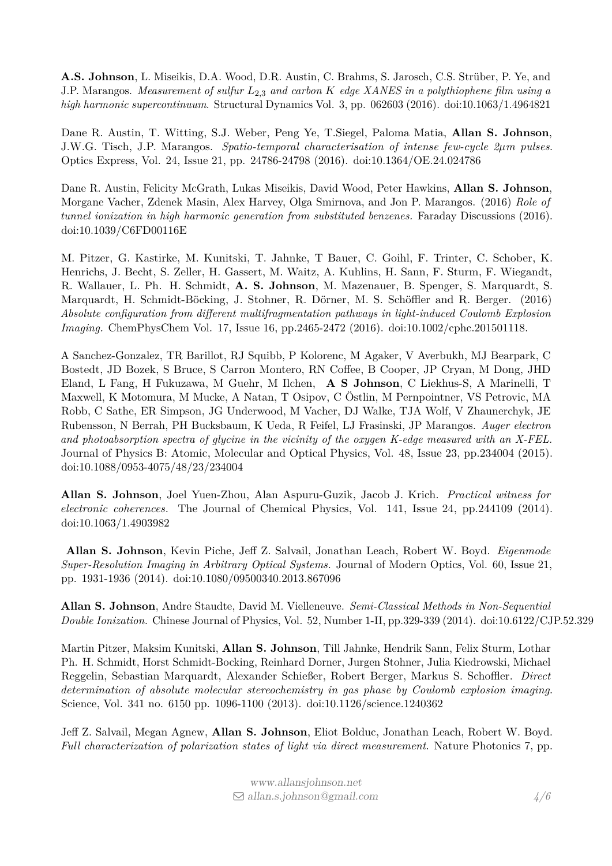**A.S. Johnson**, L. Miseikis, D.A. Wood, D.R. Austin, C. Brahms, S. Jarosch, C.S. Strüber, P. Ye, and J.P. Marangos. *Measurement of sulfur L*2*,*<sup>3</sup> *and carbon K edge XANES in a polythiophene film using a high harmonic supercontinuum*. Structural Dynamics Vol. 3, pp. 062603 (2016). [doi:10.1063/1.4964821](http://dx.doi.org/10.1063/1.4964821)

Dane R. Austin, T. Witting, S.J. Weber, Peng Ye, T.Siegel, Paloma Matia, **Allan S. Johnson**, J.W.G. Tisch, J.P. Marangos. *Spatio-temporal characterisation of intense few-cycle 2µm pulses*. Optics Express, Vol. 24, Issue 21, pp. 24786-24798 (2016). [doi:10.1364/OE.24.024786](https://doi.org/10.1364/OE.24.024786)

Dane R. Austin, Felicity McGrath, Lukas Miseikis, David Wood, Peter Hawkins, **Allan S. Johnson**, Morgane Vacher, Zdenek Masin, Alex Harvey, Olga Smirnova, and Jon P. Marangos. (2016) *Role of tunnel ionization in high harmonic generation from substituted benzenes.* Faraday Discussions (2016). [doi:10.1039/C6FD00116E](http://dx.doi.org/10.1039/C6FD00116E)

M. Pitzer, G. Kastirke, M. Kunitski, T. Jahnke, T Bauer, C. Goihl, F. Trinter, C. Schober, K. Henrichs, J. Becht, S. Zeller, H. Gassert, M. Waitz, A. Kuhlins, H. Sann, F. Sturm, F. Wiegandt, R. Wallauer, L. Ph. H. Schmidt, **A. S. Johnson**, M. Mazenauer, B. Spenger, S. Marquardt, S. Marquardt, H. Schmidt-Böcking, J. Stohner, R. Dörner, M. S. Schöffler and R. Berger. (2016) *Absolute configuration from different multifragmentation pathways in light-induced Coulomb Explosion Imaging.* ChemPhysChem Vol. 17, Issue 16, pp.2465-2472 (2016). [doi:10.1002/cphc.201501118.](https://doi.org/10.1002/cphc.201501118)

A Sanchez-Gonzalez, TR Barillot, RJ Squibb, P Kolorenc, M Agaker, V Averbukh, MJ Bearpark, C Bostedt, JD Bozek, S Bruce, S Carron Montero, RN Coffee, B Cooper, JP Cryan, M Dong, JHD Eland, L Fang, H Fukuzawa, M Guehr, M Ilchen, **A S Johnson**, C Liekhus-S, A Marinelli, T Maxwell, K Motomura, M Mucke, A Natan, T Osipov, C Östlin, M Pernpointner, VS Petrovic, MA Robb, C Sathe, ER Simpson, JG Underwood, M Vacher, DJ Walke, TJA Wolf, V Zhaunerchyk, JE Rubensson, N Berrah, PH Bucksbaum, K Ueda, R Feifel, LJ Frasinski, JP Marangos. *Auger electron and photoabsorption spectra of glycine in the vicinity of the oxygen K-edge measured with an X-FEL.* Journal of Physics B: Atomic, Molecular and Optical Physics, Vol. 48, Issue 23, pp.234004 (2015). [doi:10.1088/0953-4075/48/23/234004](https://doi.org/10.1088/0953-4075/48/23/234004)

**Allan S. Johnson**, Joel Yuen-Zhou, Alan Aspuru-Guzik, Jacob J. Krich. *Practical witness for electronic coherences.* The Journal of Chemical Physics, Vol. 141, Issue 24, pp.244109 (2014). [doi:10.1063/1.4903982](http://dx.doi.org/10.1063/1.4903982)

**Allan S. Johnson**, Kevin Piche, Jeff Z. Salvail, Jonathan Leach, Robert W. Boyd. *Eigenmode Super-Resolution Imaging in Arbitrary Optical Systems.* Journal of Modern Optics, Vol. 60, Issue 21, pp. 1931-1936 (2014). [doi:10.1080/09500340.2013.867096](http://dx.doi.org/10.1080/09500340.2013.867096)

**Allan S. Johnson**, Andre Staudte, David M. Vielleneuve. *Semi-Classical Methods in Non-Sequential Double Ionization.* Chinese Journal of Physics, Vol. 52, Number 1-II, pp.329-339 (2014). [doi:10.6122/CJP.52.329](http://dx.doi.org/10.6122/CJP.52.329)

Martin Pitzer, Maksim Kunitski, **Allan S. Johnson**, Till Jahnke, Hendrik Sann, Felix Sturm, Lothar Ph. H. Schmidt, Horst Schmidt-Bocking, Reinhard Dorner, Jurgen Stohner, Julia Kiedrowski, Michael Reggelin, Sebastian Marquardt, Alexander Schießer, Robert Berger, Markus S. Schoffler. *Direct determination of absolute molecular stereochemistry in gas phase by Coulomb explosion imaging*. Science, Vol. 341 no. 6150 pp. 1096-1100 (2013). [doi:10.1126/science.1240362](http://dx.doi.org/10.1126/science.1240362)

Jeff Z. Salvail, Megan Agnew, **Allan S. Johnson**, Eliot Bolduc, Jonathan Leach, Robert W. Boyd. *Full characterization of polarization states of light via direct measurement*. Nature Photonics 7, pp.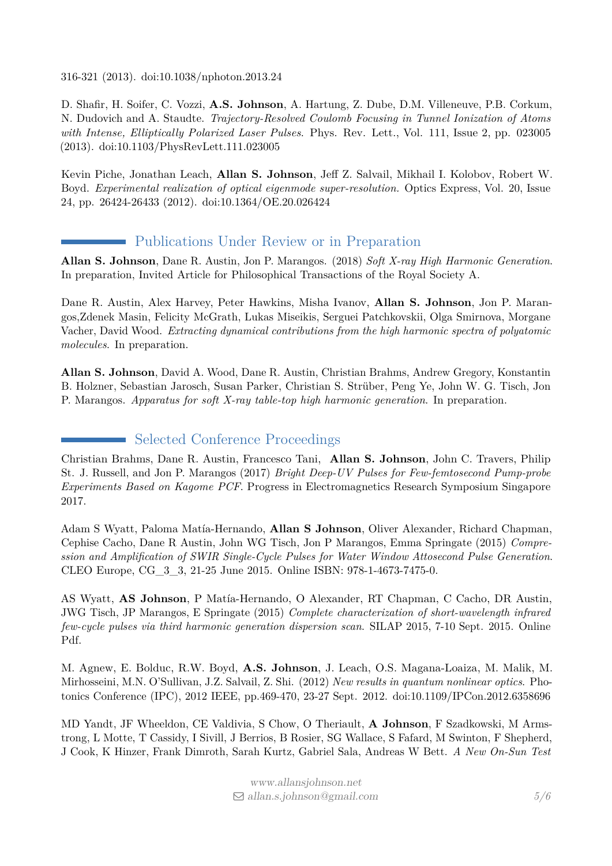316-321 (2013). [doi:10.1038/nphoton.2013.24](http://dx.doi.org/10.1038/nphoton.2013.24)

D. Shafir, H. Soifer, C. Vozzi, **A.S. Johnson**, A. Hartung, Z. Dube, D.M. Villeneuve, P.B. Corkum, N. Dudovich and A. Staudte. *Trajectory-Resolved Coulomb Focusing in Tunnel Ionization of Atoms with Intense, Elliptically Polarized Laser Pulses*. Phys. Rev. Lett., Vol. 111, Issue 2, pp. 023005 (2013). [doi:10.1103/PhysRevLett.111.023005](https://doi.org/10.1103/PhysRevLett.111.023005)

Kevin Piche, Jonathan Leach, **Allan S. Johnson**, Jeff Z. Salvail, Mikhail I. Kolobov, Robert W. Boyd. *Experimental realization of optical eigenmode super-resolution.* Optics Express, Vol. 20, Issue 24, pp. 26424-26433 (2012). [doi:10.1364/OE.20.026424](https://doi.org/10.1364/OE.20.026424)

# Publications Under Review or in Preparation

**Allan S. Johnson**, Dane R. Austin, Jon P. Marangos. (2018) *Soft X-ray High Harmonic Generation*. In preparation, Invited Article for Philosophical Transactions of the Royal Society A.

Dane R. Austin, Alex Harvey, Peter Hawkins, Misha Ivanov, **Allan S. Johnson**, Jon P. Marangos,Zdenek Masin, Felicity McGrath, Lukas Miseikis, Serguei Patchkovskii, Olga Smirnova, Morgane Vacher, David Wood. *Extracting dynamical contributions from the high harmonic spectra of polyatomic molecules*. In preparation.

**Allan S. Johnson**, David A. Wood, Dane R. Austin, Christian Brahms, Andrew Gregory, Konstantin B. Holzner, Sebastian Jarosch, Susan Parker, Christian S. Strüber, Peng Ye, John W. G. Tisch, Jon P. Marangos. *Apparatus for soft X-ray table-top high harmonic generation*. In preparation.

# Selected Conference Proceedings

<span id="page-4-0"></span>Christian Brahms, Dane R. Austin, Francesco Tani, **Allan S. Johnson**, John C. Travers, Philip St. J. Russell, and Jon P. Marangos (2017) *Bright Deep-UV Pulses for Few-femtosecond Pump-probe Experiments Based on Kagome PCF*. Progress in Electromagnetics Research Symposium Singapore 2017.

Adam S Wyatt, Paloma Matía-Hernando, **Allan S Johnson**, Oliver Alexander, Richard Chapman, Cephise Cacho, Dane R Austin, John WG Tisch, Jon P Marangos, Emma Springate (2015) *Compression and Amplification of SWIR Single-Cycle Pulses for Water Window Attosecond Pulse Generation*. CLEO Europe, CG\_3\_3, 21-25 June 2015. [Online ISBN: 978-1-4673-7475-0.](https://www.osapublishing.org/abstract.cfm?uri=CLEO_Europe-2015-CG_3_3)

AS Wyatt, **AS Johnson**, P Matía-Hernando, O Alexander, RT Chapman, C Cacho, DR Austin, JWG Tisch, JP Marangos, E Springate (2015) *Complete characterization of short-wavelength infrared few-cycle pulses via third harmonic generation dispersion scan*. SILAP 2015, 7-10 Sept. 2015. [Online](https://silap2015.sciencesconf.org/data/program/71_Wyatt_SILAP2015_atto.pdf) [Pdf.](https://silap2015.sciencesconf.org/data/program/71_Wyatt_SILAP2015_atto.pdf)

M. Agnew, E. Bolduc, R.W. Boyd, **A.S. Johnson**, J. Leach, O.S. Magana-Loaiza, M. Malik, M. Mirhosseini, M.N. O'Sullivan, J.Z. Salvail, Z. Shi. (2012) *New results in quantum nonlinear optics*. Photonics Conference (IPC), 2012 IEEE, pp.469-470, 23-27 Sept. 2012. [doi:10.1109/IPCon.2012.6358696](http://dx.doi.org/ 10.1109/IPCon.2012.6358696)

MD Yandt, JF Wheeldon, CE Valdivia, S Chow, O Theriault, **A Johnson**, F Szadkowski, M Armstrong, L Motte, T Cassidy, I Sivill, J Berrios, B Rosier, SG Wallace, S Fafard, M Swinton, F Shepherd, J Cook, K Hinzer, Frank Dimroth, Sarah Kurtz, Gabriel Sala, Andreas W Bett. *A New On-Sun Test*